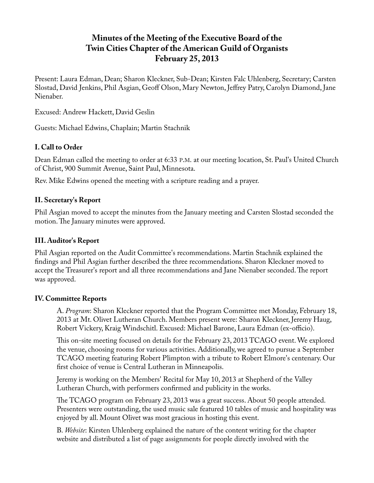# **Minutes of the Meeting of the Executive Board of the Twin Cities Chapter of the American Guild of Organists February 25, 2013**

Present: Laura Edman, Dean; Sharon Kleckner, Sub-Dean; Kirsten Falc Uhlenberg, Secretary; Carsten Slostad, David Jenkins, Phil Asgian, Geoff Olson, Mary Newton, Jeffrey Patry, Carolyn Diamond, Jane Nienaber.

Excused: Andrew Hackett, David Geslin

Guests: Michael Edwins, Chaplain; Martin Stachnik

# **I. Call to Order**

Dean Edman called the meeting to order at 6:33 P.M. at our meeting location, St. Paul's United Church of Christ, 900 Summit Avenue, Saint Paul, Minnesota.

Rev. Mike Edwins opened the meeting with a scripture reading and a prayer.

## **II. Secretary's Report**

Phil Asgian moved to accept the minutes from the January meeting and Carsten Slostad seconded the motion. The January minutes were approved.

# **III. Auditor's Report**

Phil Asgian reported on the Audit Committee's recommendations. Martin Stachnik explained the findings and Phil Asgian further described the three recommendations. Sharon Kleckner moved to accept the Treasurer's report and all three recommendations and Jane Nienaber seconded. The report was approved.

#### **IV. Committee Reports**

A. *Program*: Sharon Kleckner reported that the Program Committee met Monday, February 18, 2013 at Mt. Olivet Lutheran Church. Members present were: Sharon Kleckner, Jeremy Haug, Robert Vickery, Kraig Windschitl. Excused: Michael Barone, Laura Edman (ex-officio).

This on-site meeting focused on details for the February 23, 2013 TCAGO event. We explored the venue, choosing rooms for various activities. Additionally, we agreed to pursue a September TCAGO meeting featuring Robert Plimpton with a tribute to Robert Elmore's centenary. Our first choice of venue is Central Lutheran in Minneapolis.

Jeremy is working on the Members' Recital for May 10, 2013 at Shepherd of the Valley Lutheran Church, with performers confirmed and publicity in the works.

The TCAGO program on February 23, 2013 was a great success. About 50 people attended. Presenters were outstanding, the used music sale featured 10 tables of music and hospitality was enjoyed by all. Mount Olivet was most gracious in hosting this event.

B. *Website*: Kirsten Uhlenberg explained the nature of the content writing for the chapter website and distributed a list of page assignments for people directly involved with the